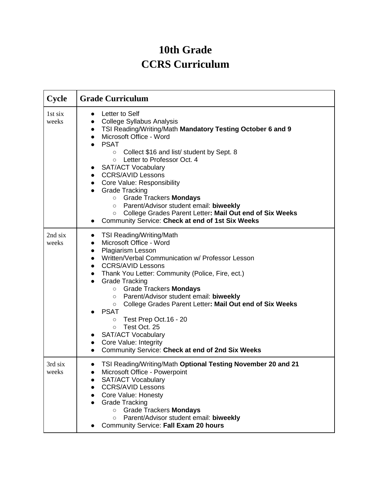## **10th Grade CCRS Curriculum**

| Cycle            | <b>Grade Curriculum</b>                                                                                                                                                                                                                                                                                                                                                                                                                                                                                                                                                                                                                     |
|------------------|---------------------------------------------------------------------------------------------------------------------------------------------------------------------------------------------------------------------------------------------------------------------------------------------------------------------------------------------------------------------------------------------------------------------------------------------------------------------------------------------------------------------------------------------------------------------------------------------------------------------------------------------|
| 1st six<br>weeks | Letter to Self<br>$\bullet$<br>College Syllabus Analysis<br>• TSI Reading/Writing/Math Mandatory Testing October 6 and 9<br>Microsoft Office - Word<br>$\bullet$<br><b>PSAT</b><br>Collect \$16 and list/ student by Sept. 8<br>$\circ$<br>Letter to Professor Oct. 4<br>$\circ$<br>• SAT/ACT Vocabulary<br>• CCRS/AVID Lessons<br>Core Value: Responsibility<br>$\bullet$<br>Grade Tracking<br><b>O</b> Grade Trackers <b>Mondays</b><br>Parent/Advisor student email: biweekly<br>$\circ$<br>College Grades Parent Letter: Mail Out end of Six Weeks<br>$\circ$<br>Community Service: Check at end of 1st Six Weeks<br>$\bullet$          |
| 2nd six<br>weeks | <b>TSI Reading/Writing/Math</b><br>$\bullet$<br>Microsoft Office - Word<br><b>Plagiarism Lesson</b><br>$\bullet$<br>• Written/Verbal Communication w/ Professor Lesson<br>• CCRS/AVID Lessons<br>• Thank You Letter: Community (Police, Fire, ect.)<br>Grade Tracking<br>$\bullet$<br>○ Grade Trackers Mondays<br>Parent/Advisor student email: biweekly<br>$\circ$<br>College Grades Parent Letter: Mail Out end of Six Weeks<br>$\circ$<br><b>PSAT</b><br>Test Prep Oct.16 - 20<br>$\circ$<br>Test Oct. 25<br>$\circ$<br>• SAT/ACT Vocabulary<br>• Core Value: Integrity<br>Community Service: Check at end of 2nd Six Weeks<br>$\bullet$ |
| 3rd six<br>weeks | TSI Reading/Writing/Math Optional Testing November 20 and 21<br>Microsoft Office - Powerpoint<br><b>SAT/ACT Vocabulary</b><br>$\bullet$<br><b>CCRS/AVID Lessons</b><br>Core Value: Honesty<br><b>Grade Tracking</b><br><b>Grade Trackers Mondays</b><br>$\circ$<br>Parent/Advisor student email: biweekly<br>$\circ$<br>Community Service: Fall Exam 20 hours                                                                                                                                                                                                                                                                               |